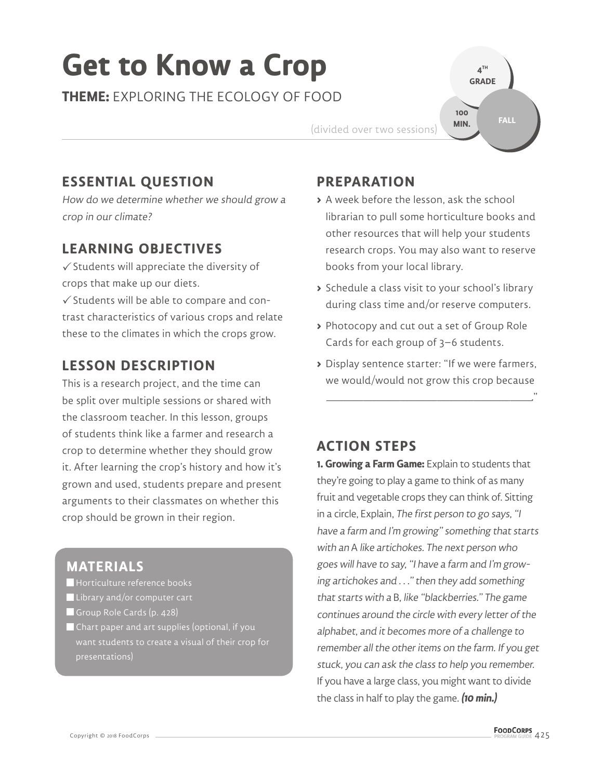# **Get to Know a Crop**

**THEME:** EXPLORING THE ECOLOGY OF FOOD

(divided over two sessions)

## **ESSENTIAL QUESTION**

How do we determine whether we should grow a crop in our climate?

#### **LEARNING OBJECTIVES**

 $\checkmark$  Students will appreciate the diversity of crops that make up our diets.

 $\checkmark$  Students will be able to compare and contrast characteristics of various crops and relate these to the climates in which the crops grow.

### **LESSON DESCRIPTION**

This is a research project, and the time can be split over multiple sessions or shared with the classroom teacher. In this lesson, groups of students think like a farmer and research a crop to determine whether they should grow it. After learning the crop's history and how it's grown and used, students prepare and present arguments to their classmates on whether this crop should be grown in their region.

#### **MATERIALS**

- Horticulture reference books
- Library and/or computer cart
- Group Role Cards (p. 428)
- Chart paper and art supplies (optional, if you presentations)

#### **PREPARATION**

**>** A week before the lesson, ask the school librarian to pull some horticulture books and other resources that will help your students research crops. You may also want to reserve books from your local library.

**4 TH GRADE** 

**100 MIN.**

**FALL**

- **>** Schedule a class visit to your school's library during class time and/or reserve computers.
- **>** Photocopy and cut out a set of Group Role Cards for each group of 3–6 students.
- **>** Display sentence starter: "If we were farmers, we would/would not grow this crop because

\_\_\_\_\_\_\_\_\_\_ \_\_\_\_\_\_\_\_\_\_ \_\_\_\_\_\_\_\_\_\_ \_\_\_\_\_\_\_\_\_\_ \_\_\_\_\_\_\_\_\_\_ \_\_\_\_\_\_."

#### **ACTION STEPS**

**1. Growing a Farm Game:** Explain to students that they're going to play a game to think of as many fruit and vegetable crops they can think of. Sitting in a circle, Explain, The first person to go says, "I have a farm and I'm growing" something that starts with an A like artichokes. The next person who goes will have to say, "I have a farm and I'm growing artichokes and . . ." then they add something that starts with a B, like "blackberries." The game continues around the circle with every letter of the alphabet, and it becomes more of a challenge to remember all the other items on the farm. If you get stuck, you can ask the class to help you remember. If you have a large class, you might want to divide the class in half to play the game. **(10 min.)**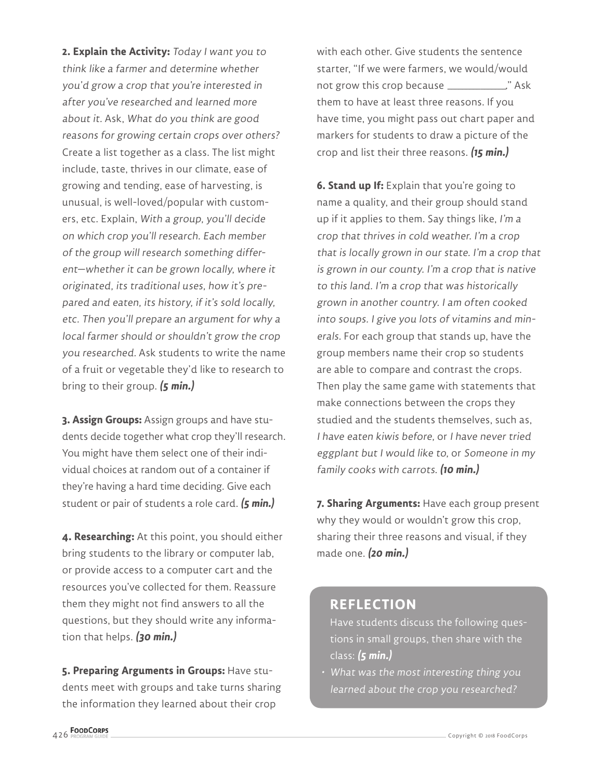**2. Explain the Activity:** Today I want you to think like a farmer and determine whether you'd grow a crop that you're interested in after you've researched and learned more about it. Ask, What do you think are good reasons for growing certain crops over others? Create a list together as a class. The list might include, taste, thrives in our climate, ease of growing and tending, ease of harvesting, is unusual, is well-loved/popular with customers, etc. Explain, With a group, you'll decide on which crop you'll research. Each member of the group will research something different—whether it can be grown locally, where it originated, its traditional uses, how it's prepared and eaten, its history, if it's sold locally, etc. Then you'll prepare an argument for why a local farmer should or shouldn't grow the crop you researched. Ask students to write the name of a fruit or vegetable they'd like to research to bring to their group. **(5 min.)**

**3. Assign Groups:** Assign groups and have students decide together what crop they'll research. You might have them select one of their individual choices at random out of a container if they're having a hard time deciding. Give each student or pair of students a role card. **(5 min.)**

**4. Researching:** At this point, you should either bring students to the library or computer lab, or provide access to a computer cart and the resources you've collected for them. Reassure them they might not find answers to all the questions, but they should write any information that helps. **(30 min.)**

**5. Preparing Arguments in Groups:** Have students meet with groups and take turns sharing the information they learned about their crop

with each other. Give students the sentence starter, "If we were farmers, we would/would not grow this crop because \_\_\_\_\_\_\_\_\_ \_\_\_\_\_\_\_." Ask them to have at least three reasons. If you have time, you might pass out chart paper and markers for students to draw a picture of the crop and list their three reasons. **(15 min.)**

**6. Stand up If:** Explain that you're going to name a quality, and their group should stand up if it applies to them. Say things like, I'm a crop that thrives in cold weather. I'm a crop that is locally grown in our state. I'm a crop that is grown in our county. I'm a crop that is native to this land. I'm a crop that was historically grown in another country. I am often cooked into soups. I give you lots of vitamins and minerals. For each group that stands up, have the group members name their crop so students are able to compare and contrast the crops. Then play the same game with statements that make connections between the crops they studied and the students themselves, such as, I have eaten kiwis before, or I have never tried eggplant but I would like to, or Someone in my family cooks with carrots. **(10 min.)**

**7. Sharing Arguments:** Have each group present why they would or wouldn't grow this crop, sharing their three reasons and visual, if they made one. **(20 min.)**

#### **REFLECTION**

Have students discuss the following questions in small groups, then share with the class: **(5 min.)**

• What was the most interesting thing you learned about the crop you researched?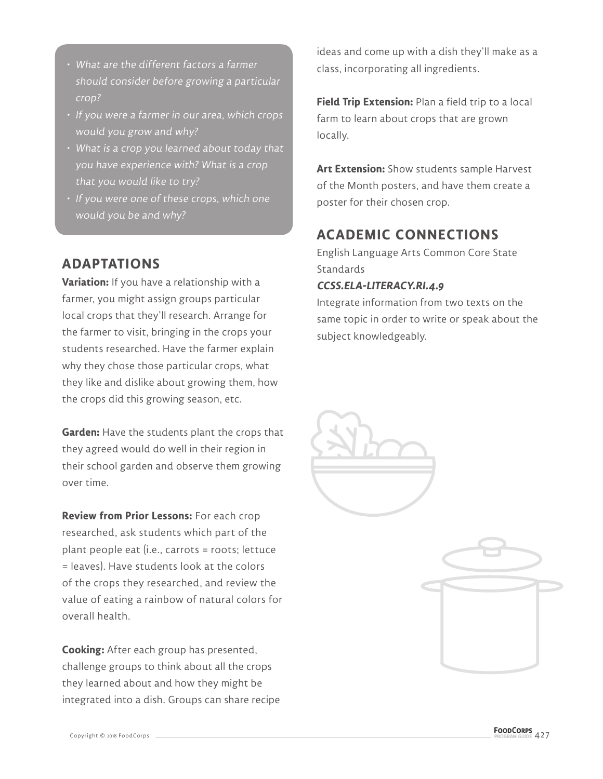- What are the different factors a farmer should consider before growing a particular crop?
- If you were a farmer in our area, which crops would you grow and why?
- What is a crop you learned about today that you have experience with? What is a crop that you would like to try?
- If you were one of these crops, which one would you be and why?

# **ADAPTATIONS**

**Variation:** If you have a relationship with a farmer, you might assign groups particular local crops that they'll research. Arrange for the farmer to visit, bringing in the crops your students researched. Have the farmer explain why they chose those particular crops, what they like and dislike about growing them, how the crops did this growing season, etc.

**Garden:** Have the students plant the crops that they agreed would do well in their region in their school garden and observe them growing over time.

**Review from Prior Lessons:** For each crop researched, ask students which part of the plant people eat (i.e., carrots = roots; lettuce = leaves). Have students look at the colors of the crops they researched, and review the value of eating a rainbow of natural colors for overall health.

**Cooking:** After each group has presented, challenge groups to think about all the crops they learned about and how they might be integrated into a dish. Groups can share recipe ideas and come up with a dish they'll make as a class, incorporating all ingredients.

**Field Trip Extension:** Plan a field trip to a local farm to learn about crops that are grown locally.

**Art Extension:** Show students sample Harvest of the Month posters, and have them create a poster for their chosen crop.

# **ACADEMIC CONNECTIONS**

English Language Arts Common Core State **Standards** 

#### **CCSS.ELA-LITERACY.RI.4.9**

Integrate information from two texts on the same topic in order to write or speak about the subject knowledgeably.